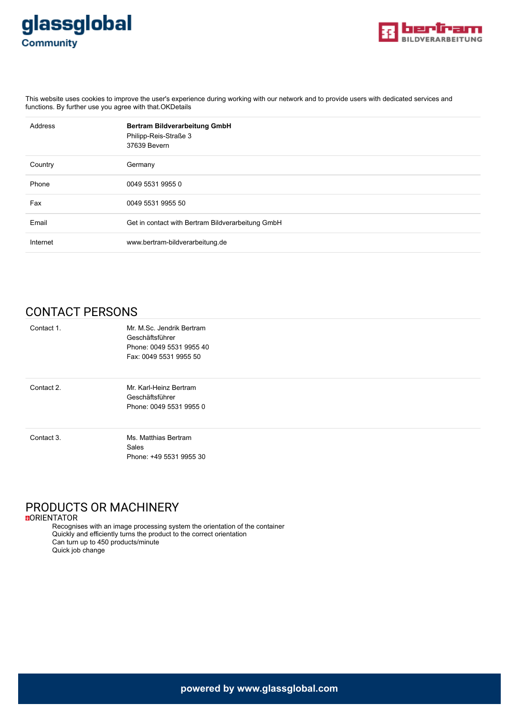



This website uses cookies to improve the user's experience during working with our network and to provide users with dedicated services and functions. By further use you agree with that.OKDetails

| Address  | Bertram Bildverarbeitung GmbH<br>Philipp-Reis-Straße 3<br>37639 Bevern |
|----------|------------------------------------------------------------------------|
| Country  | Germany                                                                |
| Phone    | 0049 5531 9955 0                                                       |
| Fax      | 0049 5531 9955 50                                                      |
| Email    | Get in contact with Bertram Bildverarbeitung GmbH                      |
| Internet | www.bertram-bildverarbeitung.de                                        |

## CONTACT PERSONS

| Contact 1. | Mr. M.Sc. Jendrik Bertram |  |
|------------|---------------------------|--|
|            | Geschäftsführer           |  |
|            | Phone: 0049 5531 9955 40  |  |
|            | Fax: 0049 5531 9955 50    |  |
|            |                           |  |
| Contact 2. | Mr. Karl-Heinz Bertram    |  |
|            | Geschäftsführer           |  |
|            | Phone: 0049 5531 9955 0   |  |
|            |                           |  |
| Contact 3. | Ms. Matthias Bertram      |  |
|            | Sales                     |  |
|            | Phone: +49 5531 9955 30   |  |

# PRODUCTS OR MACHINERY

**DORIENTATOR** 

Recognises with an image processing system the orientation of the container Quickly and efficiently turns the product to the correct orientation Can turn up to 450 products/minute Quick job change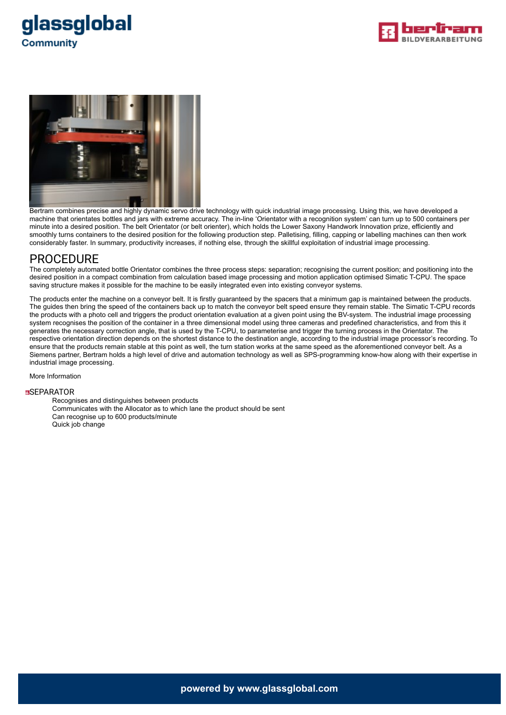





Bertram combines precise and highly dynamic servo drive technology with quick industrial image processing. Using this, we have developed a machine that orientates bottles and jars with extreme accuracy. The in-line 'Orientator with a recognition system' can turn up to 500 containers per minute into a desired position. The belt Orientator (or belt orienter), which holds the Lower Saxony Handwork Innovation prize, efficiently and smoothly turns containers to the desired position for the following production step. Palletising, filling, capping or labelling machines can then work considerably faster. In summary, productivity increases, if nothing else, through the skillful exploitation of industrial image processing.

### PROCEDURE

The completely automated bottle Orientator combines the three process steps: separation; recognising the current position; and positioning into the desired position in a compact combination from calculation based image processing and motion application optimised Simatic T-CPU. The space saving structure makes it possible for the machine to be easily integrated even into existing conveyor systems.

The products enter the machine on a conveyor belt. It is firstly guaranteed by the spacers that a minimum gap is maintained between the products. The guides then bring the speed of the containers back up to match the conveyor belt speed ensure they remain stable. The Simatic T-CPU records the products with a photo cell and triggers the product orientation evaluation at a given point using the BV-system. The industrial image processing system recognises the position of the container in a three dimensional model using three cameras and predefined characteristics, and from this it generates the necessary correction angle, that is used by the T-CPU, to parameterise and trigger the turning process in the Orientator. The respective orientation direction depends on the shortest distance to the destination angle, according to the industrial image processor's recording. To ensure that the products remain stable at this point as well, the turn station works at the same speed as the aforementioned conveyor belt. As a Siemens partner, Bertram holds a high level of drive and automation technology as well as SPS-programming know-how along with their expertise in industrial image processing.

More Information

#### **<u></u></u>■SEPARATOR**

Recognises and distinguishes between products Communicates with the Allocator as to which lane the product should be sent Can recognise up to 600 products/minute Quick job change